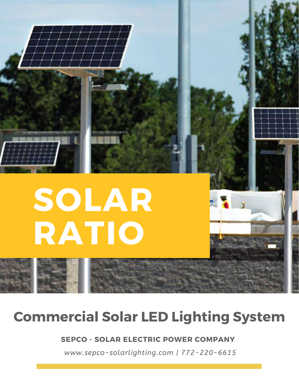

## **Commercial Solar LED Lighting System**

#### **SEPCO - SOLAR ELECTRIC POWER COMPANY**

*www.sepco-solarlighting.com | 772-220-6615*